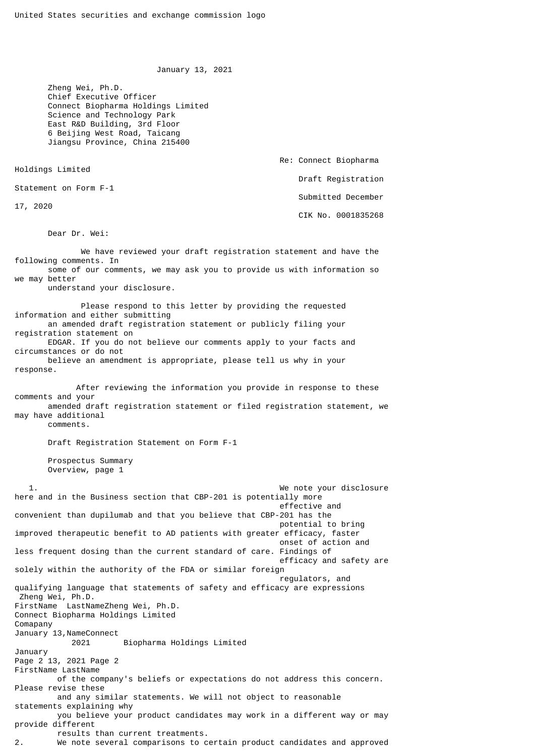January 13, 2021

Re: Connect Biopharma

Draft Registration

Submitted December

CIK No. 0001835268

 Zheng Wei, Ph.D. Chief Executive Officer Connect Biopharma Holdings Limited Science and Technology Park East R&D Building, 3rd Floor 6 Beijing West Road, Taicang Jiangsu Province, China 215400

Holdings Limited

Statement on Form F-1

17, 2020

Dear Dr. Wei:

 We have reviewed your draft registration statement and have the following comments. In some of our comments, we may ask you to provide us with information so we may better understand your disclosure. Please respond to this letter by providing the requested information and either submitting an amended draft registration statement or publicly filing your registration statement on EDGAR. If you do not believe our comments apply to your facts and circumstances or do not believe an amendment is appropriate, please tell us why in your response. After reviewing the information you provide in response to these comments and your amended draft registration statement or filed registration statement, we may have additional comments. Draft Registration Statement on Form F-1 Prospectus Summary Overview, page 1 1. We note your disclosure here and in the Business section that CBP-201 is potentially more effective and  $\blacksquare$ convenient than dupilumab and that you believe that CBP-201 has the potential to bring improved therapeutic benefit to AD patients with greater efficacy, faster onset of action and less frequent dosing than the current standard of care. Findings of efficacy and safety are solely within the authority of the FDA or similar foreign regulators, and qualifying language that statements of safety and efficacy are expressions Zheng Wei, Ph.D. FirstName LastNameZheng Wei, Ph.D. Connect Biopharma Holdings Limited Comapany January 13, NameConnect 2021 Biopharma Holdings Limited January Page 2 13, 2021 Page 2 FirstName LastName of the company's beliefs or expectations do not address this concern. Please revise these and any similar statements. We will not object to reasonable statements explaining why you believe your product candidates may work in a different way or may provide different results than current treatments. 2. We note several comparisons to certain product candidates and approved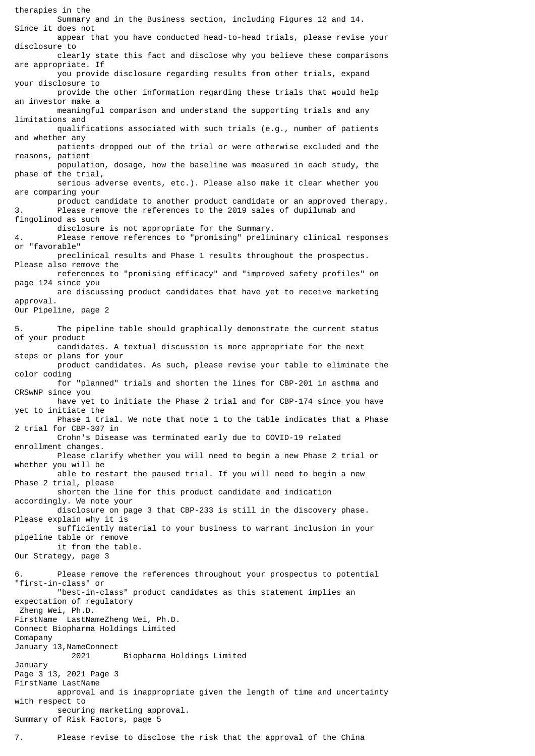therapies in the Summary and in the Business section, including Figures 12 and 14. Since it does not appear that you have conducted head-to-head trials, please revise your disclosure to clearly state this fact and disclose why you believe these comparisons are appropriate. If you provide disclosure regarding results from other trials, expand your disclosure to provide the other information regarding these trials that would help an investor make a meaningful comparison and understand the supporting trials and any limitations and qualifications associated with such trials (e.g., number of patients and whether any patients dropped out of the trial or were otherwise excluded and the reasons, patient population, dosage, how the baseline was measured in each study, the phase of the trial, serious adverse events, etc.). Please also make it clear whether you are comparing your product candidate to another product candidate or an approved therapy.<br>Please remove the references to the 2019 sales of dunilumab and Please remove the references to the 2019 sales of dupilumab and fingolimod as such disclosure is not appropriate for the Summary. 4. Please remove references to "promising" preliminary clinical responses or "favorable" preclinical results and Phase 1 results throughout the prospectus. Please also remove the references to "promising efficacy" and "improved safety profiles" on page 124 since you are discussing product candidates that have yet to receive marketing approval. Our Pipeline, page 2 5. The pipeline table should graphically demonstrate the current status of your product candidates. A textual discussion is more appropriate for the next steps or plans for your product candidates. As such, please revise your table to eliminate the color coding for "planned" trials and shorten the lines for CBP-201 in asthma and CRSwNP since you have yet to initiate the Phase 2 trial and for CBP-174 since you have yet to initiate the Phase 1 trial. We note that note 1 to the table indicates that a Phase 2 trial for CBP-307 in Crohn's Disease was terminated early due to COVID-19 related enrollment changes. Please clarify whether you will need to begin a new Phase 2 trial or whether you will be able to restart the paused trial. If you will need to begin a new Phase 2 trial, please shorten the line for this product candidate and indication accordingly. We note your disclosure on page 3 that CBP-233 is still in the discovery phase. Please explain why it is sufficiently material to your business to warrant inclusion in your pipeline table or remove it from the table. Our Strategy, page 3 Please remove the references throughout your prospectus to potential "first-in-class" or "best-in-class" product candidates as this statement implies an expectation of regulatory Zheng Wei, Ph.D. FirstName LastNameZheng Wei, Ph.D. Connect Biopharma Holdings Limited Comapany January 13, NameConnect 2021 Biopharma Holdings Limited January Page 3 13, 2021 Page 3 FirstName LastName approval and is inappropriate given the length of time and uncertainty with respect to securing marketing approval. Summary of Risk Factors, page 5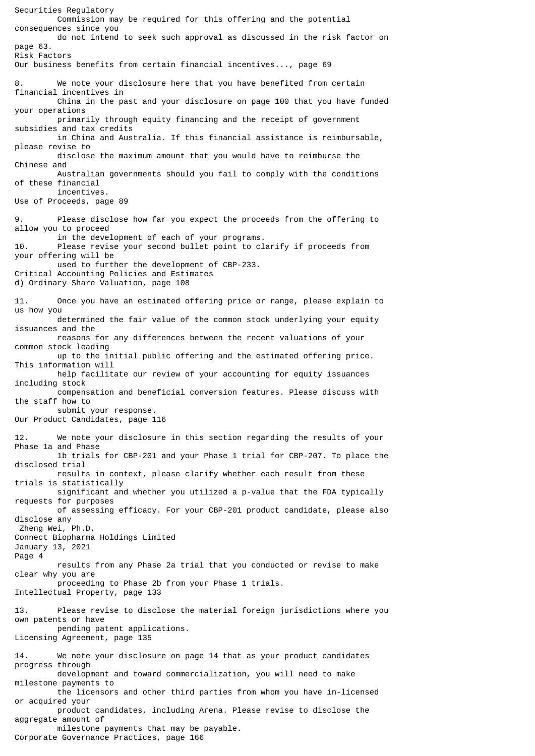Securities Regulatory Commission may be required for this offering and the potential consequences since you do not intend to seek such approval as discussed in the risk factor on page 63. Risk Factors Our business benefits from certain financial incentives..., page 69 We note your disclosure here that you have benefited from certain financial incentives in China in the past and your disclosure on page 100 that you have funded your operations primarily through equity financing and the receipt of government subsidies and tax credits in China and Australia. If this financial assistance is reimbursable, please revise to disclose the maximum amount that you would have to reimburse the Chinese and Australian governments should you fail to comply with the conditions of these financial incentives. Use of Proceeds, page 89 9. Please disclose how far you expect the proceeds from the offering to allow you to proceed in the development of each of your programs. 10. Please revise your second bullet point to clarify if proceeds from your offering will be used to further the development of CBP-233. Critical Accounting Policies and Estimates d) Ordinary Share Valuation, page 108 11. Once you have an estimated offering price or range, please explain to us how you determined the fair value of the common stock underlying your equity issuances and the reasons for any differences between the recent valuations of your common stock leading up to the initial public offering and the estimated offering price. This information will help facilitate our review of your accounting for equity issuances including stock compensation and beneficial conversion features. Please discuss with the staff how to submit your response. Our Product Candidates, page 116 12. We note your disclosure in this section regarding the results of your Phase 1a and Phase 1b trials for CBP-201 and your Phase 1 trial for CBP-207. To place the disclosed trial results in context, please clarify whether each result from these trials is statistically significant and whether you utilized a p-value that the FDA typically requests for purposes of assessing efficacy. For your CBP-201 product candidate, please also disclose any Zheng Wei, Ph.D. Connect Biopharma Holdings Limited January 13, 2021 Page 4 results from any Phase 2a trial that you conducted or revise to make clear why you are proceeding to Phase 2b from your Phase 1 trials. Intellectual Property, page 133 13. Please revise to disclose the material foreign jurisdictions where you own patents or have pending patent applications. Licensing Agreement, page 135 14. We note your disclosure on page 14 that as your product candidates progress through development and toward commercialization, you will need to make milestone payments to the licensors and other third parties from whom you have in-licensed or acquired your product candidates, including Arena. Please revise to disclose the aggregate amount of milestone payments that may be payable. Corporate Governance Practices, page 166